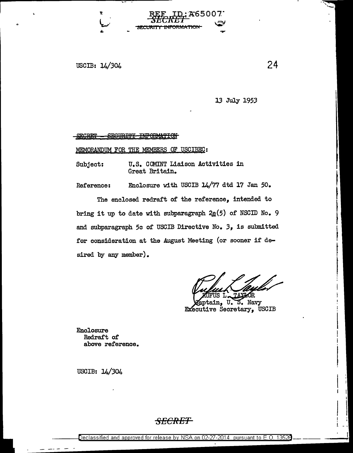USCIB: 14/304

.•

13 July 1953

**165007** 

SECRET - SEGURITY INFORMATION

MEMORANDUM FOR THE MEMBERS OF USCIBEC:

Subject: U.S. COMINT Liaison Activities in Great Britain.

Reference: Enclosure with USCIB 14/77 dtd 17 Jan 50.

The enclosed redraft of the reference, intended to bring it up to date with subparagraph  $2\underline{e}(5)$  of NSCID No. 9 and subparagraph 5c of USCIB Directive No. 3, is submitted for consideration at the August Meeting (or sooner if desired by any member).

ŐR.

 $\vert$   $\vert$ 

I I  $\|\;\|$ 

! !

ptain, U. S. Navy Executive Secretary, USCIB

Enclosure Redraft of above reference.

USCIB: 14/304

## *SECRET*

24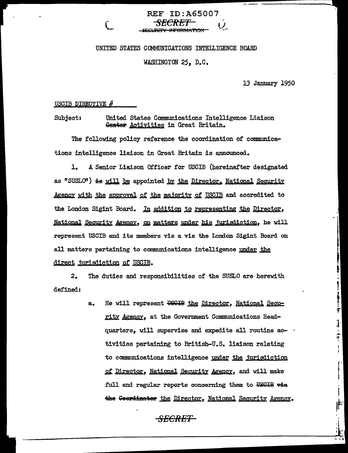# **REF ID:A65007**

#### UNITED STATES COMMUNICATIONS INTELLIGENCE BOARD

#### WASHINGTON 25, D.C.

13 January 1950

T<br>F

ŧ

ŧ.

USCIB DIRECTIVE  $#$ 

United States Communications Intelligence Liaison **Subject:** Genter Activities in Great Britain.

The following policy reference the coordination of communications intelligence liaison in Great Britain is announced.

A Senior Liaison Officer for USCIB (hereinafter designated ı. as "SUSLO") is will be appointed by the Director, National Security <u>Agency with the approval of the majority of USCIB</u> and accredited to the London Sigint Board. In addition to representing the Director, National Security Agency, on matters under his jurisdiction, he will represent USCIB and its members vis a vis the London Sigint Board on all matters pertaining to communications intelligence under the <u>direct jurisdiction of USCIB.</u>

 $2.$ The duties and responsibilities of the SUSLO are herewith defined:

> He will represent USGIB the Director, National Secu $a_{\bullet}$ rity Agency, at the Government Communications Headquarters, will supervise and expedite all routine activities pertaining to British-U.S. liaison relating to communications intelligence under the jurisdiction of Director, National Security Agency, and will make full and regular reports concerning them to USGIB wie the Geerdinater the Director, National Security Agency.

> > **SECRET**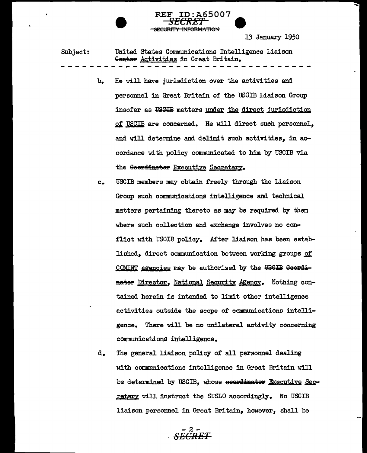13 January 1950

Subject: United States Communications Intelligence Liaison Genter Activities in Great Britain.

> $b_{\bullet}$ He will have jurisdiction over the activities and personnel in Great Britain of the USCIB Liaison Group insofar as USGIB matters under the direct jurisdiction of USCIB are concerned. He will direct such personnel, and will determine and delimit such activities, in accordance with policy communicated to him by USCIB via the Geerdinater Executive Secretary.

5007

<del>INFARMATIA</del>

- USCIB members may obtain freely through the Liaison  $c_{\bullet}$ Group such communications intelligence and technical matters pertaining thereto as may be required by them where such collection and exchange involves no conflict with USCIB policy. After liaison has been established, direct communication between working groups of COMINT agencies may be authorized by the USGIB Coordineter Director, National Security Agency. Nothing contained herein is intended to limit other intelligence activities outside the scope of communications intelli-There will be no unilateral activity concerning gence. communications intelligence.
- d. The general liaison policy of all personnel dealing with communications intelligence in Great Britain will be determined by USCIB, whose ecercinater Executive Secretary will instruct the SUSLO accordingly. No USCIB liaison personnel in Great Britain, however, shall be

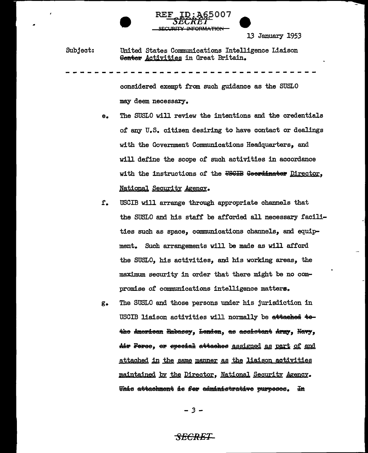

Subject: United States Communications Intelligence Liaison Genter Activities in Great Britain.

> considered exempt from such guidance as the SUSLO may deem necessary.

- The SUSLO will review the intentions and the credentials  $e_{\bullet}$ of any U.S. citizen desiring to have contact or dealings with the Government Communications Headquarters, and will define the scope of such activities in accordance with the instructions of the USGIB Geerdinater Director, National Security Agency.
- USCIB will arrange through appropriate channels that f. the SUSLO and his staff be afforded all necessary facilities such as space, communications channels, and equipment. Such arrangements will be made as will afford the SUSLO, his activities, and his working areas, the maximum security in order that there might be no compromise of communications intelligence matters.
- The SUSLO and those persons under his jurisdiction in  $g_{\bullet}$ USCIB liaison activities will normally be attached tethe American Embassy, Lenden, as assistant Army, Navy, Air Feree, er speeial attaches assigned as part of and attached in the same manner as the liaison activities maintained by the Director, National Security Agency. This attachment is for administrative purposes. In

 $-3-$ 

### <del>SECRET</del>